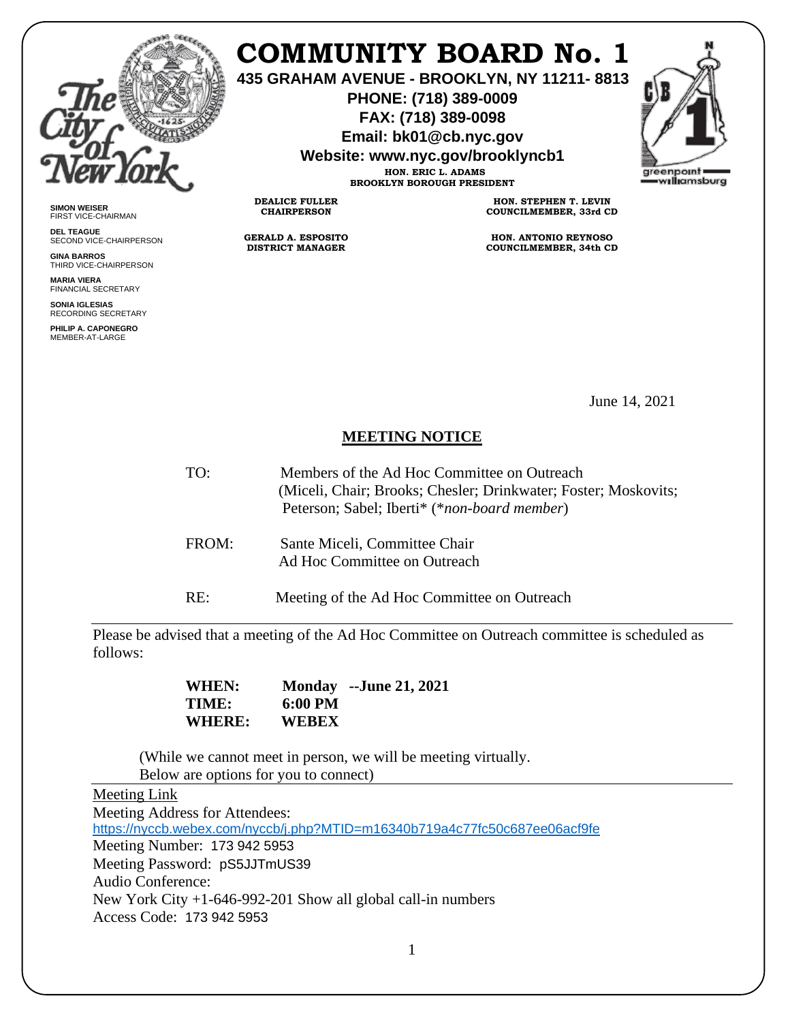

**SIMON WEISER** FIRST VICE-CHAIRMAN **DEL TEAGUE**

**GINA BARROS** THIRD VICE-CHAIRPERSON

**MARIA VIERA** FINANCIAL SECRETARY **SONIA IGLESIAS** RECORDING SECRETARY **PHILIP A. CAPONEGRO** MEMBER-AT-LARGE

SECOND VICE-CHAIRPERSON

# **COMMUNITY BOARD No. 1**

**435 GRAHAM AVENUE - BROOKLYN, NY 11211- 8813**

**PHONE: (718) 389-0009 FAX: (718) 389-0098**

**Email: bk01@cb.nyc.gov**

**Website: www.nyc.gov/brooklyncb1 HON. ERIC L. ADAMS**

**BROOKLYN BOROUGH PRESIDENT**



**DEALICE FULLER**

**CHAIRPERSON**

**GERALD A. ESPOSITO DISTRICT MANAGER**

**HON. STEPHEN T. LEVIN COUNCILMEMBER, 33rd CD**

**HON. ANTONIO REYNOSO COUNCILMEMBER, 34th CD**

June 14, 2021

## **MEETING NOTICE**

- TO: Members of the Ad Hoc Committee on Outreach (Miceli, Chair; Brooks; Chesler; Drinkwater; Foster; Moskovits; Peterson; Sabel; Iberti\* (\**non-board member*) FROM: Sante Miceli, Committee Chair
	- Ad Hoc Committee on Outreach

RE: Meeting of the Ad Hoc Committee on Outreach

Please be advised that a meeting of the Ad Hoc Committee on Outreach committee is scheduled as follows:

> **WHEN: Monday --June 21, 2021 TIME: 6:00 PM WHERE: WEBEX**

(While we cannot meet in person, we will be meeting virtually. Below are options for you to connect)

#### Meeting Link

Meeting Address for Attendees: <https://nyccb.webex.com/nyccb/j.php?MTID=m16340b719a4c77fc50c687ee06acf9fe> Meeting Number: 173 942 5953 Meeting Password: pS5JJTmUS39 Audio Conference: New York City +1-646-992-201 Show all global call-in numbers Access Code: 173 942 5953